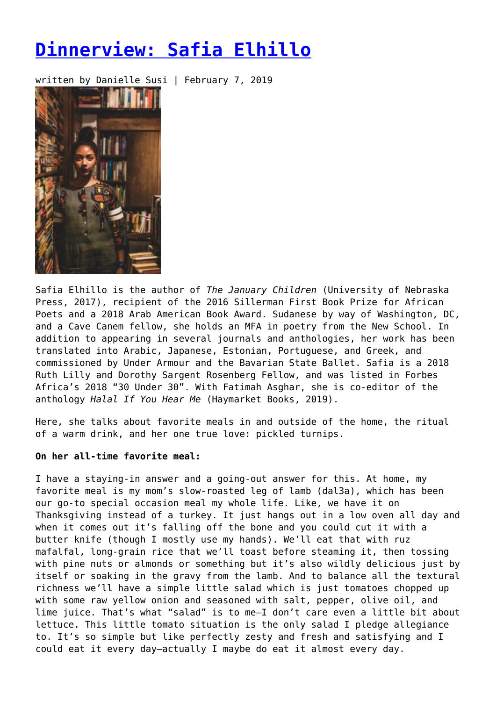# **[Dinnerview: Safia Elhillo](https://entropymag.org/dinnerview-safia-elhillo/)**

written by Danielle Susi | February 7, 2019



Safia Elhillo is the author of *The January Children* (University of Nebraska Press, 2017), recipient of the 2016 Sillerman First Book Prize for African Poets and a 2018 Arab American Book Award. Sudanese by way of Washington, DC, and a Cave Canem fellow, she holds an MFA in poetry from the New School. In addition to appearing in several journals and anthologies, her work has been translated into Arabic, Japanese, Estonian, Portuguese, and Greek, and commissioned by Under Armour and the Bavarian State Ballet. Safia is a 2018 Ruth Lilly and Dorothy Sargent Rosenberg Fellow, and was listed in Forbes Africa's 2018 "30 Under 30". With Fatimah Asghar, she is co-editor of the anthology *Halal If You Hear Me* (Haymarket Books, 2019).

Here, she talks about favorite meals in and outside of the home, the ritual of a warm drink, and her one true love: pickled turnips.

## **On her all-time favorite meal:**

I have a staying-in answer and a going-out answer for this. At home, my favorite meal is my mom's slow-roasted leg of lamb (dal3a), which has been our go-to special occasion meal my whole life. Like, we have it on Thanksgiving instead of a turkey. It just hangs out in a low oven all day and when it comes out it's falling off the bone and you could cut it with a butter knife (though I mostly use my hands). We'll eat that with ruz mafalfal, long-grain rice that we'll toast before steaming it, then tossing with pine nuts or almonds or something but it's also wildly delicious just by itself or soaking in the gravy from the lamb. And to balance all the textural richness we'll have a simple little salad which is just tomatoes chopped up with some raw yellow onion and seasoned with salt, pepper, olive oil, and lime juice. That's what "salad" is to me—I don't care even a little bit about lettuce. This little tomato situation is the only salad I pledge allegiance to. It's so simple but like perfectly zesty and fresh and satisfying and I could eat it every day—actually I maybe do eat it almost every day.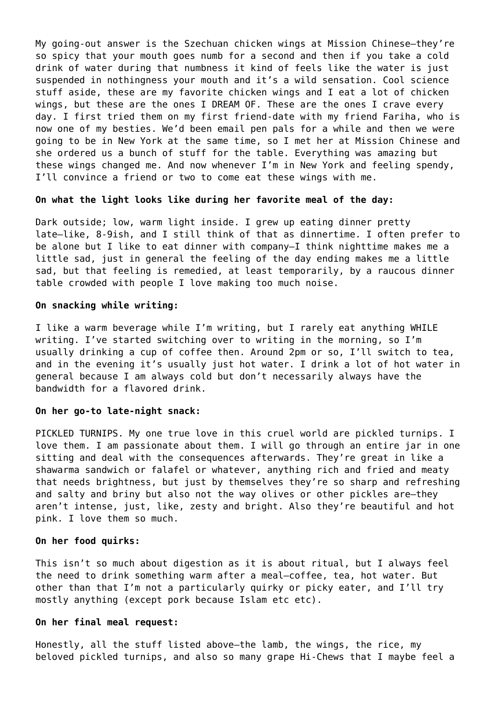My going-out answer is the Szechuan chicken wings at Mission Chinese—they're so spicy that your mouth goes numb for a second and then if you take a cold drink of water during that numbness it kind of feels like the water is just suspended in nothingness your mouth and it's a wild sensation. Cool science stuff aside, these are my favorite chicken wings and I eat a lot of chicken wings, but these are the ones I DREAM OF. These are the ones I crave every day. I first tried them on my first friend-date with my friend Fariha, who is now one of my besties. We'd been email pen pals for a while and then we were going to be in New York at the same time, so I met her at Mission Chinese and she ordered us a bunch of stuff for the table. Everything was amazing but these wings changed me. And now whenever I'm in New York and feeling spendy, I'll convince a friend or two to come eat these wings with me.

#### **On what the light looks like during her favorite meal of the day:**

Dark outside; low, warm light inside. I grew up eating dinner pretty late—like, 8-9ish, and I still think of that as dinnertime. I often prefer to be alone but I like to eat dinner with company—I think nighttime makes me a little sad, just in general the feeling of the day ending makes me a little sad, but that feeling is remedied, at least temporarily, by a raucous dinner table crowded with people I love making too much noise.

### **On snacking while writing:**

I like a warm beverage while I'm writing, but I rarely eat anything WHILE writing. I've started switching over to writing in the morning, so I'm usually drinking a cup of coffee then. Around 2pm or so, I'll switch to tea, and in the evening it's usually just hot water. I drink a lot of hot water in general because I am always cold but don't necessarily always have the bandwidth for a flavored drink.

#### **On her go-to late-night snack:**

PICKLED TURNIPS. My one true love in this cruel world are pickled turnips. I love them. I am passionate about them. I will go through an entire jar in one sitting and deal with the consequences afterwards. They're great in like a shawarma sandwich or falafel or whatever, anything rich and fried and meaty that needs brightness, but just by themselves they're so sharp and refreshing and salty and briny but also not the way olives or other pickles are—they aren't intense, just, like, zesty and bright. Also they're beautiful and hot pink. I love them so much.

#### **On her food quirks:**

This isn't so much about digestion as it is about ritual, but I always feel the need to drink something warm after a meal—coffee, tea, hot water. But other than that I'm not a particularly quirky or picky eater, and I'll try mostly anything (except pork because Islam etc etc).

#### **On her final meal request:**

Honestly, all the stuff listed above—the lamb, the wings, the rice, my beloved pickled turnips, and also so many grape Hi-Chews that I maybe feel a